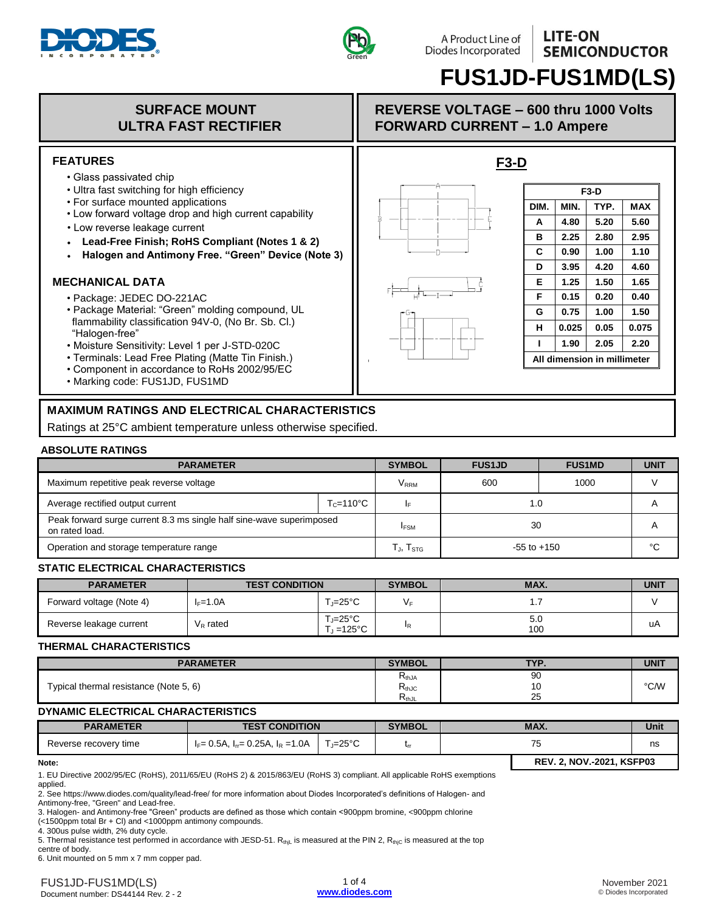



# **FUS1JD-FUS1MD(LS)**

## **SURFACE MOUNT ULTRA FAST RECTIFIER**

#### **FEATURES**

- Glass passivated chip
- Ultra fast switching for high efficiency
- For surface mounted applications
- Low forward voltage drop and high current capability
- Low reverse leakage current
- **Lead-Free Finish; RoHS Compliant (Notes 1 & 2)**
- **Halogen and Antimony Free. "Green" Device (Note 3)**

### **MECHANICAL DATA**

- Package: JEDEC DO-221AC
- Package Material: "Green" molding compound, UL flammability classification 94V-0, (No Br. Sb. Cl.) "Halogen-free"
- Moisture Sensitivity: Level 1 per J-STD-020C
- Terminals: Lead Free Plating (Matte Tin Finish.)
- Component in accordance to RoHs 2002/95/EC
- Marking code: FUS1JD, FUS1MD

## **MAXIMUM RATINGS AND ELECTRICAL CHARACTERISTICS**

Ratings at 25°C ambient temperature unless otherwise specified.

#### **ABSOLUTE RATINGS**

| <b>PARAMETER</b>                                                                       | <b>SYMBOL</b>         | <b>FUS1JD</b>           | <b>FUS1MD</b>   | <b>UNIT</b> |    |
|----------------------------------------------------------------------------------------|-----------------------|-------------------------|-----------------|-------------|----|
| Maximum repetitive peak reverse voltage                                                |                       | <b>V</b> <sub>RRM</sub> | 600             | 1000        |    |
| Average rectified output current                                                       | $T_c = 110^{\circ}$ C |                         | 1.0             |             |    |
| Peak forward surge current 8.3 ms single half sine-wave superimposed<br>on rated load. |                       | <b>IFSM</b>             | 30              |             |    |
| Operation and storage temperature range                                                |                       | Гյ, T <sub>STG</sub>    | $-55$ to $+150$ |             | °C |

#### **STATIC ELECTRICAL CHARACTERISTICS**

| <b>PARAMETER</b>         | <b>TEST CONDITION</b> |                      | <b>SYMBOL</b> | MAX.       | <b>UNIT</b> |
|--------------------------|-----------------------|----------------------|---------------|------------|-------------|
| Forward voltage (Note 4) | $I_F=1.0A$            | ั,=25°C              |               | . .        |             |
| Reverse leakage current  | $\rm V_R$ rated       | ั,⊨25°C<br>். =125°C | IR.           | 5.0<br>100 | uA          |

#### **THERMAL CHARACTERISTICS**

| <b>PARAMETER</b>                       | <b>SYMBOL</b>                              | TVD<br>. . | <b>UNIT</b> |
|----------------------------------------|--------------------------------------------|------------|-------------|
| Typical thermal resistance (Note 5, 6) | $\mathsf{r}_{\mathsf{thJA}}$<br>$R_{thJC}$ | 90<br>ט ו  | °C/W        |
|                                        | . .<br><b>KthJL</b>                        | 25         |             |

#### **DYNAMIC ELECTRICAL CHARACTERISTICS**

| <b>PARAMETER</b>      | <b>TEST CONDITION</b>                       |         | <b>SYMBOL</b> | MAX.                             |  | Unit |
|-----------------------|---------------------------------------------|---------|---------------|----------------------------------|--|------|
| Reverse recovery time | $I_F$ = 0.5A, $I_{rr}$ = 0.25A, $I_R$ =1.0A | ਾ ≔25°C |               | כ '                              |  | ns   |
| Note:                 |                                             |         |               | <b>REV. 2. NOV.-2021. KSFP03</b> |  |      |

1. EU Directive 2002/95/EC (RoHS), 2011/65/EU (RoHS 2) & 2015/863/EU (RoHS 3) compliant. All applicable RoHS exemptions applied.

2. See https://www.diodes.com/quality/lead-free/ for more information about Diodes Incorporated's definitions of Halogen- and Antimony-free, "Green" and Lead-free.

3. Halogen- and Antimony-free "Green" products are defined as those which contain <900ppm bromine, <900ppm chlorine

(<1500ppm total Br + Cl) and <1000ppm antimony compounds.

4. 300us pulse width, 2% duty cycle.

5. Thermal resistance test performed in accordance with JESD-51. RthjL is measured at the PIN 2,  $R_{thjC}$  is measured at the top centre of body.

6. Unit mounted on 5 mm x 7 mm copper pad.

## **REVERSE VOLTAGE – 600 thru 1000 Volts FORWARD CURRENT – 1.0 Ampere**

**F3-D**



| F3-D                        |       |      |            |  |  |
|-----------------------------|-------|------|------------|--|--|
| DIM.                        | MIN.  | TYP. | <b>MAX</b> |  |  |
| А                           | 4.80  | 5.20 | 5.60       |  |  |
| в                           | 2.25  | 2.80 | 2.95       |  |  |
| C                           | 0.90  | 1.00 | 1.10       |  |  |
| D                           | 3.95  | 4.20 | 4.60       |  |  |
| Е                           | 1.25  | 1.50 | 1.65       |  |  |
| F                           | 0.15  | 0.20 | 0.40       |  |  |
| G                           | 0.75  | 1.00 | 1.50       |  |  |
| н                           | 0.025 | 0.05 | 0.075      |  |  |
| ı                           | 1.90  | 2.05 | 2.20       |  |  |
| All dimension in millimeter |       |      |            |  |  |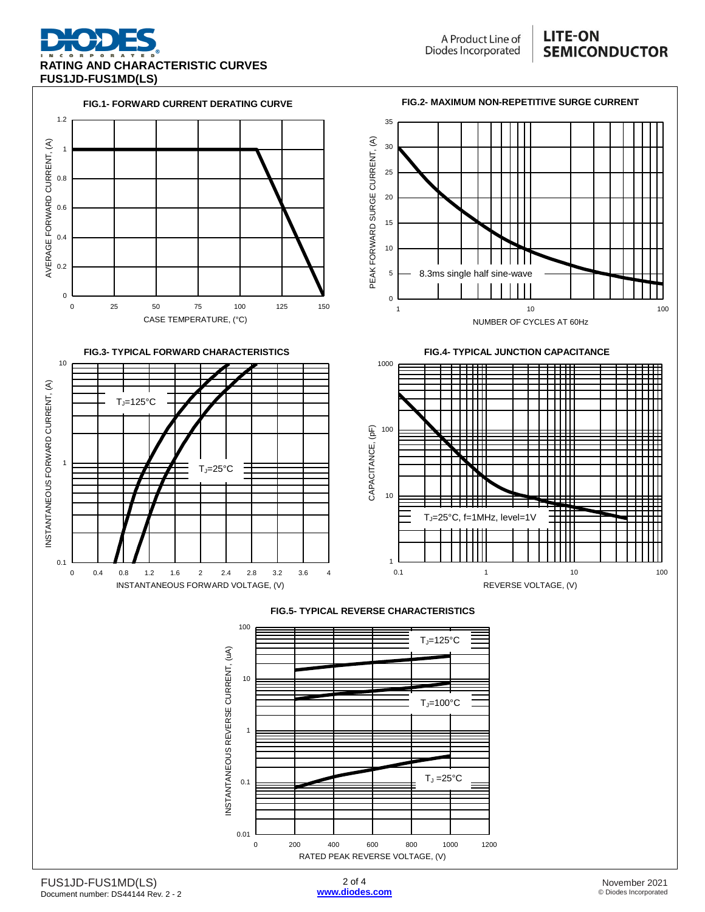

## **LITE-ON SEMICONDUCTOR**

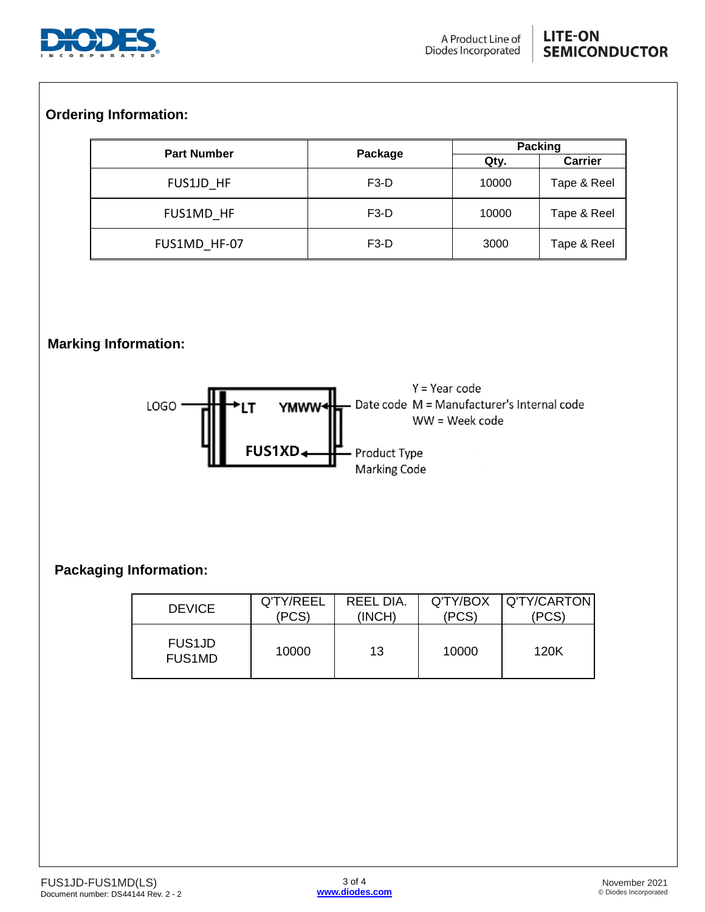

# **Ordering Information:**

| <b>Part Number</b> |                   | Packing |                |  |
|--------------------|-------------------|---------|----------------|--|
|                    | Package           | Qty.    | <b>Carrier</b> |  |
| FUS1JD HF          | F <sub>3</sub> -D | 10000   | Tape & Reel    |  |
| FUS1MD HF          | F <sub>3</sub> -D | 10000   | Tape & Reel    |  |
| FUS1MD HF-07       | F <sub>3</sub> -D | 3000    | Tape & Reel    |  |

# **Marking Information:**



# **Packaging Information:**

| <b>DEVICE</b>                  | Q'TY/REEL | REEL DIA. | Q'TY/BOX | Q'TY/CARTON |
|--------------------------------|-----------|-----------|----------|-------------|
|                                | (PCS)     | (INCH)    | (PCS)    | 'PCS)       |
| <b>FUS1JD</b><br><b>FUS1MD</b> | 10000     | 13        | 10000    | 120K        |